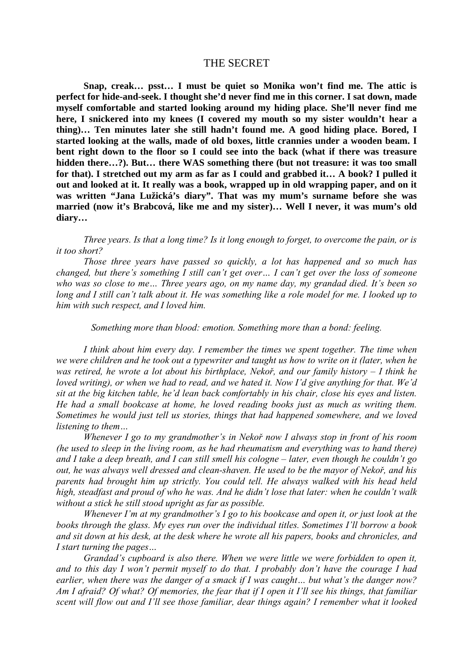## THE SECRET

**Snap, creak… psst… I must be quiet so Monika won't find me. The attic is perfect for hide-and-seek. I thought she'd never find me in this corner. I sat down, made myself comfortable and started looking around my hiding place. She'll never find me here, I snickered into my knees (I covered my mouth so my sister wouldn't hear a thing)… Ten minutes later she still hadn't found me. A good hiding place. Bored, I started looking at the walls, made of old boxes, little crannies under a wooden beam. I bent right down to the floor so I could see into the back (what if there was treasure hidden there…?). But… there WAS something there (but not treasure: it was too small for that). I stretched out my arm as far as I could and grabbed it… A book? I pulled it out and looked at it. It really was a book, wrapped up in old wrapping paper, and on it was written "Jana Lužická's diary". That was my mum's surname before she was married (now it's Brabcová, like me and my sister)… Well I never, it was mum's old diary…** 

*Three years. Is that a long time? Is it long enough to forget, to overcome the pain, or is it too short?* 

*Those three years have passed so quickly, a lot has happened and so much has changed, but there's something I still can't get over… I can't get over the loss of someone who was so close to me… Three years ago, on my name day, my grandad died. It's been so long and I still can't talk about it. He was something like a role model for me. I looked up to him with such respect, and I loved him.* 

*Something more than blood: emotion. Something more than a bond: feeling.* 

*I think about him every day. I remember the times we spent together. The time when we were children and he took out a typewriter and taught us how to write on it (later, when he was retired, he wrote a lot about his birthplace, Nekoř, and our family history – I think he loved writing), or when we had to read, and we hated it. Now I'd give anything for that. We'd sit at the big kitchen table, he'd lean back comfortably in his chair, close his eyes and listen. He had a small bookcase at home, he loved reading books just as much as writing them. Sometimes he would just tell us stories, things that had happened somewhere, and we loved listening to them…* 

*Whenever I go to my grandmother's in Nekoř now I always stop in front of his room (he used to sleep in the living room, as he had rheumatism and everything was to hand there) and I take a deep breath, and I can still smell his cologne – later, even though he couldn't go out, he was always well dressed and clean-shaven. He used to be the mayor of Nekoř, and his parents had brought him up strictly. You could tell. He always walked with his head held high, steadfast and proud of who he was. And he didn't lose that later: when he couldn't walk without a stick he still stood upright as far as possible.* 

*Whenever I'm at my grandmother's I go to his bookcase and open it, or just look at the books through the glass. My eyes run over the individual titles. Sometimes I'll borrow a book and sit down at his desk, at the desk where he wrote all his papers, books and chronicles, and I start turning the pages…* 

*Grandad's cupboard is also there. When we were little we were forbidden to open it, and to this day I won't permit myself to do that. I probably don't have the courage I had earlier, when there was the danger of a smack if I was caught… but what's the danger now? Am I afraid? Of what? Of memories, the fear that if I open it I'll see his things, that familiar scent will flow out and I'll see those familiar, dear things again? I remember what it looked*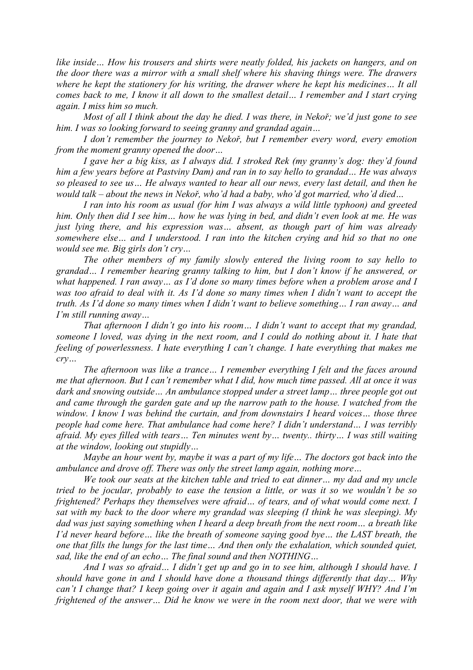*like inside… How his trousers and shirts were neatly folded, his jackets on hangers, and on the door there was a mirror with a small shelf where his shaving things were. The drawers where he kept the stationery for his writing, the drawer where he kept his medicines… It all comes back to me, I know it all down to the smallest detail… I remember and I start crying again. I miss him so much.* 

*Most of all I think about the day he died. I was there, in Nekoř; we'd just gone to see him. I was so looking forward to seeing granny and grandad again…* 

*I don't remember the journey to Nekoř, but I remember every word, every emotion from the moment granny opened the door…* 

*I gave her a big kiss, as I always did. I stroked Rek (my granny's dog: they'd found him a few years before at Pastviny Dam) and ran in to say hello to grandad… He was always so pleased to see us… He always wanted to hear all our news, every last detail, and then he would talk – about the news in Nekoř, who'd had a baby, who'd got married, who'd died…* 

*I ran into his room as usual (for him I was always a wild little typhoon) and greeted him. Only then did I see him… how he was lying in bed, and didn't even look at me. He was just lying there, and his expression was… absent, as though part of him was already somewhere else… and I understood. I ran into the kitchen crying and hid so that no one would see me. Big girls don't cry…* 

*The other members of my family slowly entered the living room to say hello to grandad… I remember hearing granny talking to him, but I don't know if he answered, or what happened. I ran away… as I'd done so many times before when a problem arose and I was too afraid to deal with it. As I'd done so many times when I didn't want to accept the truth. As I'd done so many times when I didn't want to believe something… I ran away… and I'm still running away…* 

*That afternoon I didn't go into his room… I didn't want to accept that my grandad, someone I loved, was dying in the next room, and I could do nothing about it. I hate that feeling of powerlessness. I hate everything I can't change. I hate everything that makes me cry…* 

*The afternoon was like a trance… I remember everything I felt and the faces around me that afternoon. But I can't remember what I did, how much time passed. All at once it was dark and snowing outside… An ambulance stopped under a street lamp… three people got out and came through the garden gate and up the narrow path to the house. I watched from the window. I know I was behind the curtain, and from downstairs I heard voices… those three people had come here. That ambulance had come here? I didn't understand… I was terribly afraid. My eyes filled with tears… Ten minutes went by… twenty.. thirty… I was still waiting at the window, looking out stupidly…* 

*Maybe an hour went by, maybe it was a part of my life… The doctors got back into the ambulance and drove off. There was only the street lamp again, nothing more…* 

*We took our seats at the kitchen table and tried to eat dinner… my dad and my uncle tried to be jocular, probably to ease the tension a little, or was it so we wouldn't be so frightened? Perhaps they themselves were afraid… of tears, and of what would come next. I sat with my back to the door where my grandad was sleeping (I think he was sleeping). My dad was just saying something when I heard a deep breath from the next room… a breath like I'd never heard before... like the breath of someone saying good bye... the LAST breath, the one that fills the lungs for the last time… And then only the exhalation, which sounded quiet, sad, like the end of an echo… The final sound and then NOTHING…* 

*And I was so afraid… I didn't get up and go in to see him, although I should have. I should have gone in and I should have done a thousand things differently that day… Why can't I change that? I keep going over it again and again and I ask myself WHY? And I'm frightened of the answer… Did he know we were in the room next door, that we were with*